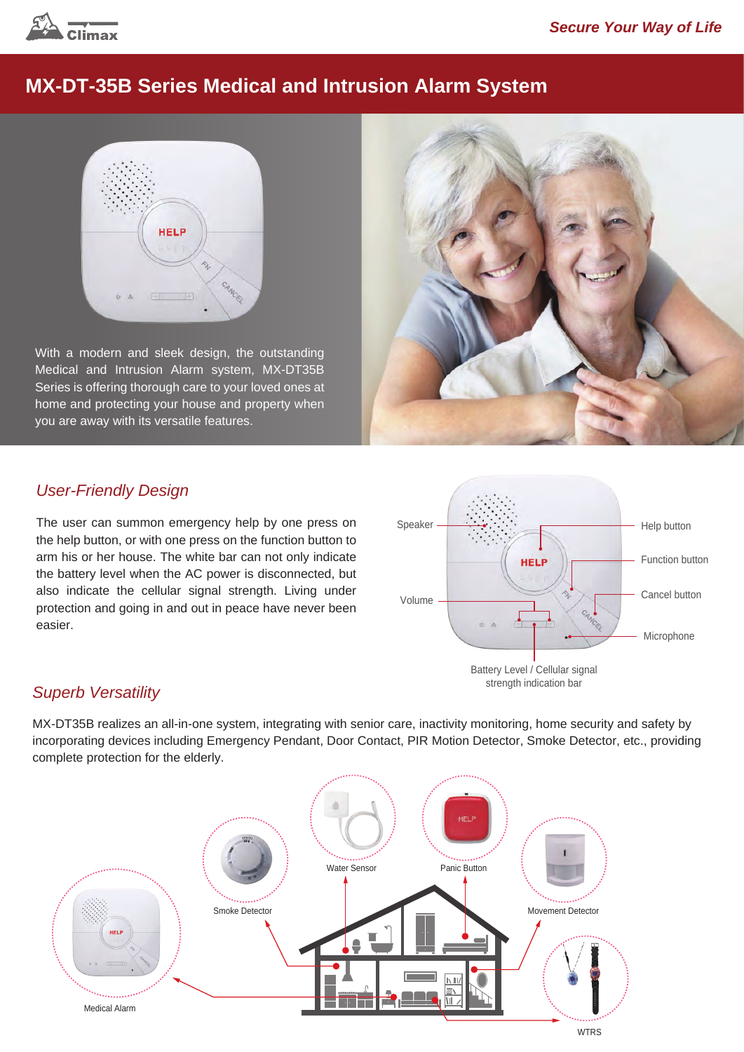

# **MX-DT-35B Series Medical and Intrusion Alarm System**



With a modern and sleek design, the outstanding Medical and Intrusion Alarm system, MX-DT35B Series is offering thorough care to your loved ones at home and protecting your house and property when you are away with its versatile features.



### *User-Friendly Design*

The user can summon emergency help by one press on the help button, or with one press on the function button to arm his or her house. The white bar can not only indicate the battery level when the AC power is disconnected, but also indicate the cellular signal strength. Living under protection and going in and out in peace have never been easier.



#### *Superb Versatility*

MX-DT35B realizes an all-in-one system, integrating with senior care, inactivity monitoring, home security and safety by incorporating devices including Emergency Pendant, Door Contact, PIR Motion Detector, Smoke Detector, etc., providing complete protection for the elderly.

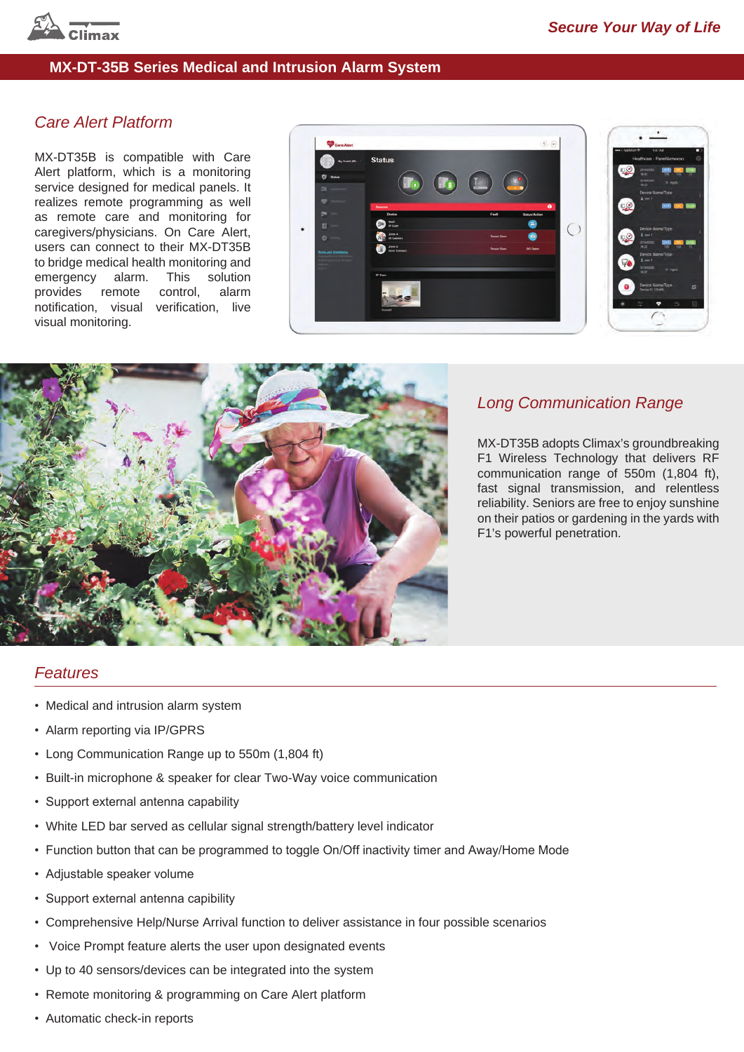

#### **MX-DT-35B Series Medical and Intrusion Alarm System**

### *Care Alert Platform*

MX-DT35B is compatible with Care Alert platform, which is a monitoring service designed for medical panels. It realizes remote programming as well as remote care and monitoring for caregivers/physicians. On Care Alert, users can connect to their MX-DT35B to bridge medical health monitoring and emergency alarm. This solution provides remote control, alarm notification, visual verification, live visual monitoring.





#### *Long Communication Range*

MX-DT35B adopts Climax's groundbreaking F1 Wireless Technology that delivers RF communication range of 550m (1,804 ft), fast signal transmission, and relentless reliability. Seniors are free to enjoy sunshine on their patios or gardening in the yards with F1's powerful penetration.

#### *Features*

- Medical and intrusion alarm system
- Alarm reporting via IP/GPRS
- Long Communication Range up to 550m (1,804 ft)
- Built-in microphone & speaker for clear Two-Way voice communication
- Support external antenna capability
- White LED bar served as cellular signal strength/battery level indicator
- Function button that can be programmed to toggle On/Off inactivity timer and Away/Home Mode
- Adjustable speaker volume
- Support external antenna capibility
- Comprehensive Help/Nurse Arrival function to deliver assistance in four possible scenarios
- Voice Prompt feature alerts the user upon designated events
- Up to 40 sensors/devices can be integrated into the system
- Remote monitoring & programming on Care Alert platform
- Automatic check-in reports